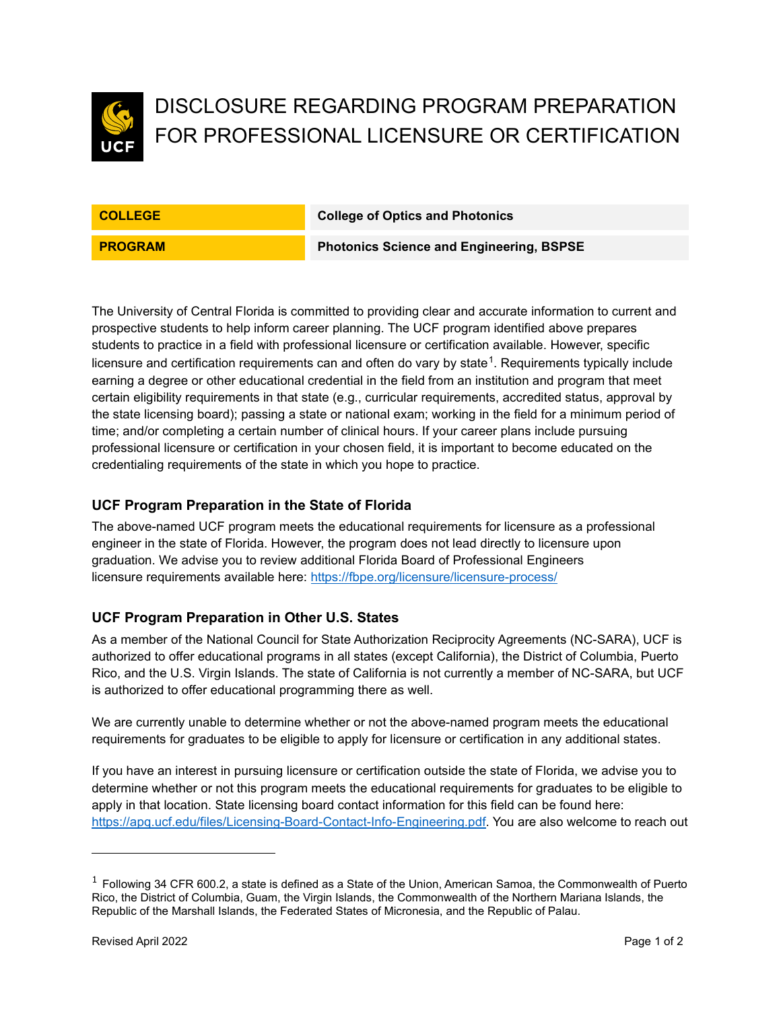

# DISCLOSURE REGARDING PROGRAM PREPARATION FOR PROFESSIONAL LICENSURE OR CERTIFICATION

**COLLEGE COLLEGE COLLEGE COLLEGE COLLEGE COLLEGE** 

**PROGRAM Photonics Science and Engineering, BSPSE**

The University of Central Florida is committed to providing clear and accurate information to current and prospective students to help inform career planning. The UCF program identified above prepares students to practice in a field with professional licensure or certification available. However, specific licensure and certification requirements can and often do vary by state $^1$  $^1$ . Requirements typically include earning a degree or other educational credential in the field from an institution and program that meet certain eligibility requirements in that state (e.g., curricular requirements, accredited status, approval by the state licensing board); passing a state or national exam; working in the field for a minimum period of time; and/or completing a certain number of clinical hours. If your career plans include pursuing professional licensure or certification in your chosen field, it is important to become educated on the credentialing requirements of the state in which you hope to practice.

## **UCF Program Preparation in the State of Florida**

The above-named UCF program meets the educational requirements for licensure as a professional engineer in the state of Florida. However, the program does not lead directly to licensure upon graduation. We advise you to review additional Florida Board of Professional Engineers licensure requirements available here: <https://fbpe.org/licensure/licensure-process/>

#### **UCF Program Preparation in Other U.S. States**

As a member of the National Council for State Authorization Reciprocity Agreements (NC-SARA), UCF is authorized to offer educational programs in all states (except California), the District of Columbia, Puerto Rico, and the U.S. Virgin Islands. The state of California is not currently a member of NC-SARA, but UCF is authorized to offer educational programming there as well.

We are currently unable to determine whether or not the above-named program meets the educational requirements for graduates to be eligible to apply for licensure or certification in any additional states.

If you have an interest in pursuing licensure or certification outside the state of Florida, we advise you to determine whether or not this program meets the educational requirements for graduates to be eligible to apply in that location. State licensing board contact information for this field can be found here: [https://apq.ucf.edu/files/Licensing-Board-Contact-Info-Engineering.pdf.](https://apq.ucf.edu/files/Licensing-Board-Contact-Info-Engineering.pdf) You are also welcome to reach out

<span id="page-0-0"></span> $<sup>1</sup>$  Following 34 CFR 600.2, a state is defined as a State of the Union, American Samoa, the Commonwealth of Puerto</sup> Rico, the District of Columbia, Guam, the Virgin Islands, the Commonwealth of the Northern Mariana Islands, the Republic of the Marshall Islands, the Federated States of Micronesia, and the Republic of Palau.